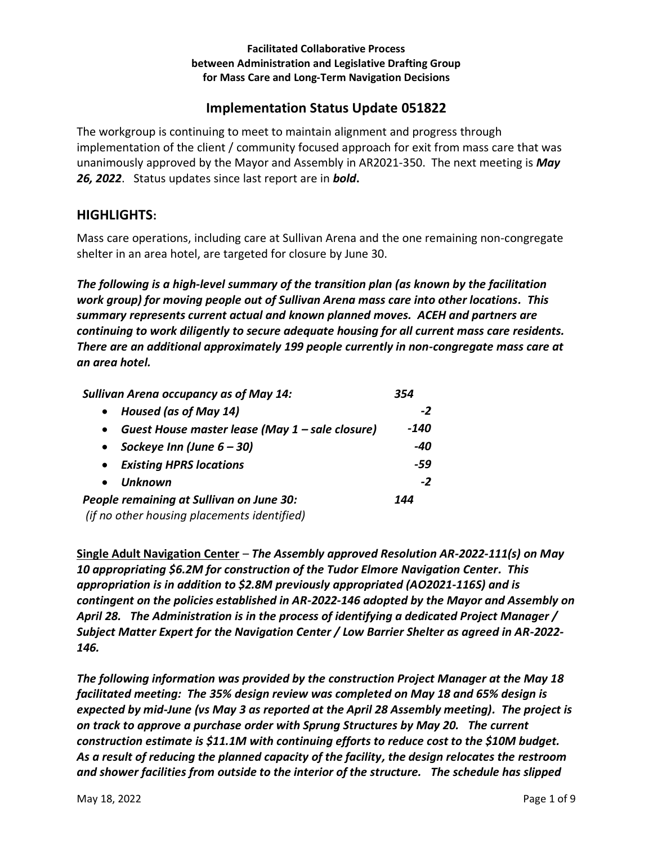#### **Facilitated Collaborative Process between Administration and Legislative Drafting Group for Mass Care and Long-Term Navigation Decisions**

# **Implementation Status Update 051822**

The workgroup is continuing to meet to maintain alignment and progress through implementation of the client / community focused approach for exit from mass care that was unanimously approved by the Mayor and Assembly in AR2021-350. The next meeting is *May 26, 2022*. Status updates since last report are in *bold***.** 

## **HIGHLIGHTS:**

Mass care operations, including care at Sullivan Arena and the one remaining non-congregate shelter in an area hotel, are targeted for closure by June 30.

*The following is a high-level summary of the transition plan (as known by the facilitation work group) for moving people out of Sullivan Arena mass care into other locations. This summary represents current actual and known planned moves. ACEH and partners are continuing to work diligently to secure adequate housing for all current mass care residents. There are an additional approximately 199 people currently in non-congregate mass care at an area hotel.* 

| Sullivan Arena occupancy as of May 14:                       | 354  |
|--------------------------------------------------------------|------|
| Housed (as of May 14)<br>$\bullet$                           | $-2$ |
| Guest House master lease (May 1 - sale closure)<br>$\bullet$ | -140 |
| Sockeye Inn (June $6 - 30$ )<br>$\bullet$                    | -40  |
| <b>Existing HPRS locations</b><br>$\bullet$                  | -59  |
| Unknown<br>$\bullet$                                         | $-2$ |
| People remaining at Sullivan on June 30:                     | 144  |
| (if no other housing placements identified)                  |      |

**Single Adult Navigation Center** – *The Assembly approved Resolution AR-2022-111(s) on May 10 appropriating \$6.2M for construction of the Tudor Elmore Navigation Center. This appropriation is in addition to \$2.8M previously appropriated (AO2021-116S) and is contingent on the policies established in AR-2022-146 adopted by the Mayor and Assembly on April 28. The Administration is in the process of identifying a dedicated Project Manager / Subject Matter Expert for the Navigation Center / Low Barrier Shelter as agreed in AR-2022- 146.* 

*The following information was provided by the construction Project Manager at the May 18 facilitated meeting: The 35% design review was completed on May 18 and 65% design is expected by mid-June (vs May 3 as reported at the April 28 Assembly meeting). The project is on track to approve a purchase order with Sprung Structures by May 20. The current construction estimate is \$11.1M with continuing efforts to reduce cost to the \$10M budget. As a result of reducing the planned capacity of the facility, the design relocates the restroom and shower facilities from outside to the interior of the structure. The schedule has slipped*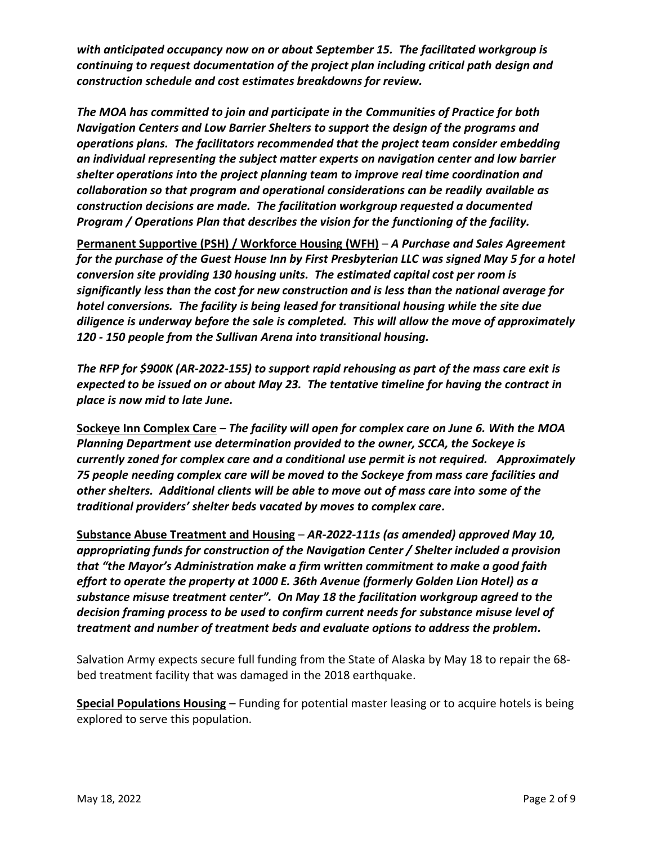*with anticipated occupancy now on or about September 15. The facilitated workgroup is continuing to request documentation of the project plan including critical path design and construction schedule and cost estimates breakdowns for review.* 

*The MOA has committed to join and participate in the Communities of Practice for both Navigation Centers and Low Barrier Shelters to support the design of the programs and operations plans. The facilitators recommended that the project team consider embedding an individual representing the subject matter experts on navigation center and low barrier shelter operations into the project planning team to improve real time coordination and collaboration so that program and operational considerations can be readily available as construction decisions are made. The facilitation workgroup requested a documented Program / Operations Plan that describes the vision for the functioning of the facility.* 

**Permanent Supportive (PSH) / Workforce Housing (WFH)** – *A Purchase and Sales Agreement for the purchase of the Guest House Inn by First Presbyterian LLC was signed May 5 for a hotel conversion site providing 130 housing units. The estimated capital cost per room is significantly less than the cost for new construction and is less than the national average for hotel conversions. The facility is being leased for transitional housing while the site due diligence is underway before the sale is completed. This will allow the move of approximately 120 - 150 people from the Sullivan Arena into transitional housing.* 

*The RFP for \$900K (AR-2022-155) to support rapid rehousing as part of the mass care exit is expected to be issued on or about May 23. The tentative timeline for having the contract in place is now mid to late June.* 

**Sockeye Inn Complex Care** – *The facility will open for complex care on June 6. With the MOA Planning Department use determination provided to the owner, SCCA, the Sockeye is currently zoned for complex care and a conditional use permit is not required. Approximately 75 people needing complex care will be moved to the Sockeye from mass care facilities and other shelters. Additional clients will be able to move out of mass care into some of the traditional providers' shelter beds vacated by moves to complex care.* 

**Substance Abuse Treatment and Housing** – *AR-2022-111s (as amended) approved May 10, appropriating funds for construction of the Navigation Center / Shelter included a provision that "the Mayor's Administration make a firm written commitment to make a good faith effort to operate the property at 1000 E. 36th Avenue (formerly Golden Lion Hotel) as a substance misuse treatment center". On May 18 the facilitation workgroup agreed to the decision framing process to be used to confirm current needs for substance misuse level of treatment and number of treatment beds and evaluate options to address the problem.* 

Salvation Army expects secure full funding from the State of Alaska by May 18 to repair the 68 bed treatment facility that was damaged in the 2018 earthquake.

**Special Populations Housing** – Funding for potential master leasing or to acquire hotels is being explored to serve this population.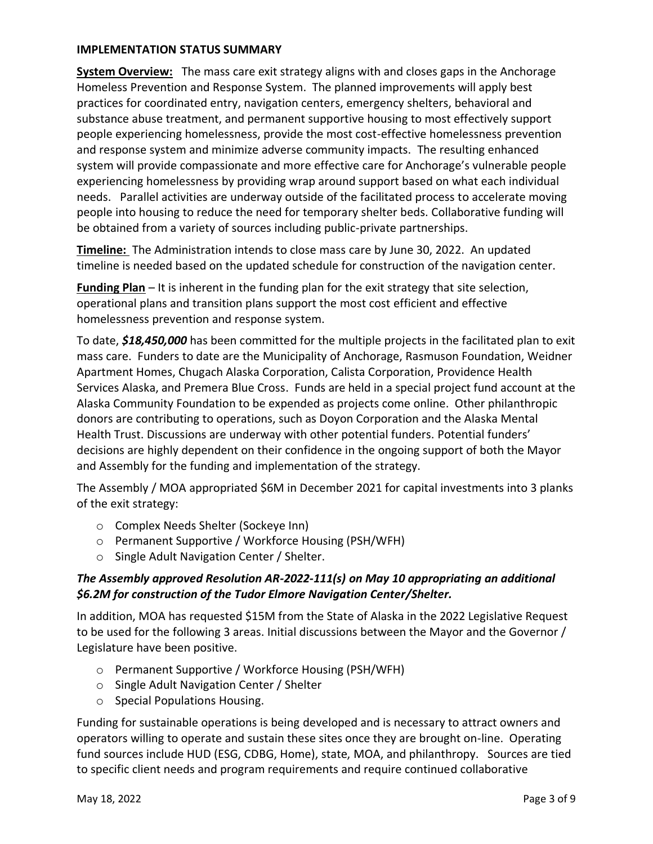#### **IMPLEMENTATION STATUS SUMMARY**

**System Overview:** The mass care exit strategy aligns with and closes gaps in the Anchorage Homeless Prevention and Response System. The planned improvements will apply best practices for coordinated entry, navigation centers, emergency shelters, behavioral and substance abuse treatment, and permanent supportive housing to most effectively support people experiencing homelessness, provide the most cost-effective homelessness prevention and response system and minimize adverse community impacts. The resulting enhanced system will provide compassionate and more effective care for Anchorage's vulnerable people experiencing homelessness by providing wrap around support based on what each individual needs. Parallel activities are underway outside of the facilitated process to accelerate moving people into housing to reduce the need for temporary shelter beds. Collaborative funding will be obtained from a variety of sources including public-private partnerships.

**Timeline:** The Administration intends to close mass care by June 30, 2022. An updated timeline is needed based on the updated schedule for construction of the navigation center.

**Funding Plan** – It is inherent in the funding plan for the exit strategy that site selection, operational plans and transition plans support the most cost efficient and effective homelessness prevention and response system.

To date, *\$18,450,000* has been committed for the multiple projects in the facilitated plan to exit mass care. Funders to date are the Municipality of Anchorage, Rasmuson Foundation, Weidner Apartment Homes, Chugach Alaska Corporation, Calista Corporation, Providence Health Services Alaska, and Premera Blue Cross. Funds are held in a special project fund account at the Alaska Community Foundation to be expended as projects come online. Other philanthropic donors are contributing to operations, such as Doyon Corporation and the Alaska Mental Health Trust. Discussions are underway with other potential funders. Potential funders' decisions are highly dependent on their confidence in the ongoing support of both the Mayor and Assembly for the funding and implementation of the strategy.

The Assembly / MOA appropriated \$6M in December 2021 for capital investments into 3 planks of the exit strategy:

- o Complex Needs Shelter (Sockeye Inn)
- o Permanent Supportive / Workforce Housing (PSH/WFH)
- o Single Adult Navigation Center / Shelter.

## *The Assembly approved Resolution AR-2022-111(s) on May 10 appropriating an additional \$6.2M for construction of the Tudor Elmore Navigation Center/Shelter.*

In addition, MOA has requested \$15M from the State of Alaska in the 2022 Legislative Request to be used for the following 3 areas. Initial discussions between the Mayor and the Governor / Legislature have been positive.

- o Permanent Supportive / Workforce Housing (PSH/WFH)
- o Single Adult Navigation Center / Shelter
- o Special Populations Housing.

Funding for sustainable operations is being developed and is necessary to attract owners and operators willing to operate and sustain these sites once they are brought on-line. Operating fund sources include HUD (ESG, CDBG, Home), state, MOA, and philanthropy. Sources are tied to specific client needs and program requirements and require continued collaborative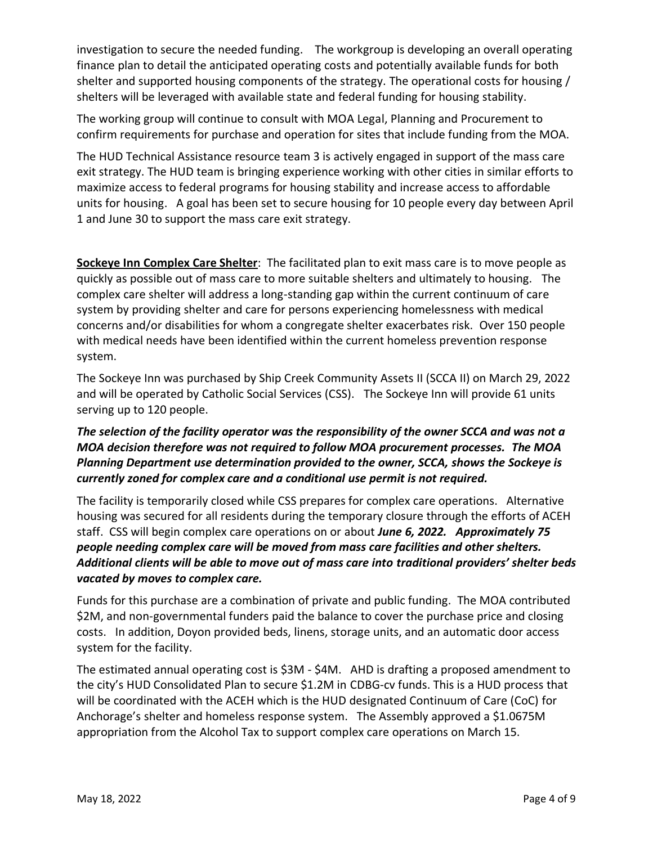investigation to secure the needed funding. The workgroup is developing an overall operating finance plan to detail the anticipated operating costs and potentially available funds for both shelter and supported housing components of the strategy. The operational costs for housing / shelters will be leveraged with available state and federal funding for housing stability.

The working group will continue to consult with MOA Legal, Planning and Procurement to confirm requirements for purchase and operation for sites that include funding from the MOA.

The HUD Technical Assistance resource team 3 is actively engaged in support of the mass care exit strategy. The HUD team is bringing experience working with other cities in similar efforts to maximize access to federal programs for housing stability and increase access to affordable units for housing. A goal has been set to secure housing for 10 people every day between April 1 and June 30 to support the mass care exit strategy.

**Sockeye Inn Complex Care Shelter**:The facilitated plan to exit mass care is to move people as quickly as possible out of mass care to more suitable shelters and ultimately to housing. The complex care shelter will address a long-standing gap within the current continuum of care system by providing shelter and care for persons experiencing homelessness with medical concerns and/or disabilities for whom a congregate shelter exacerbates risk.Over 150 people with medical needs have been identified within the current homeless prevention response system.

The Sockeye Inn was purchased by Ship Creek Community Assets II (SCCA II) on March 29, 2022 and will be operated by Catholic Social Services (CSS). The Sockeye Inn will provide 61 units serving up to 120 people.

## *The selection of the facility operator was the responsibility of the owner SCCA and was not a MOA decision therefore was not required to follow MOA procurement processes. The MOA Planning Department use determination provided to the owner, SCCA, shows the Sockeye is currently zoned for complex care and a conditional use permit is not required.*

The facility is temporarily closed while CSS prepares for complex care operations. Alternative housing was secured for all residents during the temporary closure through the efforts of ACEH staff. CSS will begin complex care operations on or about *June 6, 2022. Approximately 75 people needing complex care will be moved from mass care facilities and other shelters. Additional clients will be able to move out of mass care into traditional providers' shelter beds vacated by moves to complex care.* 

Funds for this purchase are a combination of private and public funding. The MOA contributed \$2M, and non-governmental funders paid the balance to cover the purchase price and closing costs. In addition, Doyon provided beds, linens, storage units, and an automatic door access system for the facility.

The estimated annual operating cost is \$3M - \$4M. AHD is drafting a proposed amendment to the city's HUD Consolidated Plan to secure \$1.2M in CDBG-cv funds. This is a HUD process that will be coordinated with the ACEH which is the HUD designated Continuum of Care (CoC) for Anchorage's shelter and homeless response system. The Assembly approved a \$1.0675M appropriation from the Alcohol Tax to support complex care operations on March 15.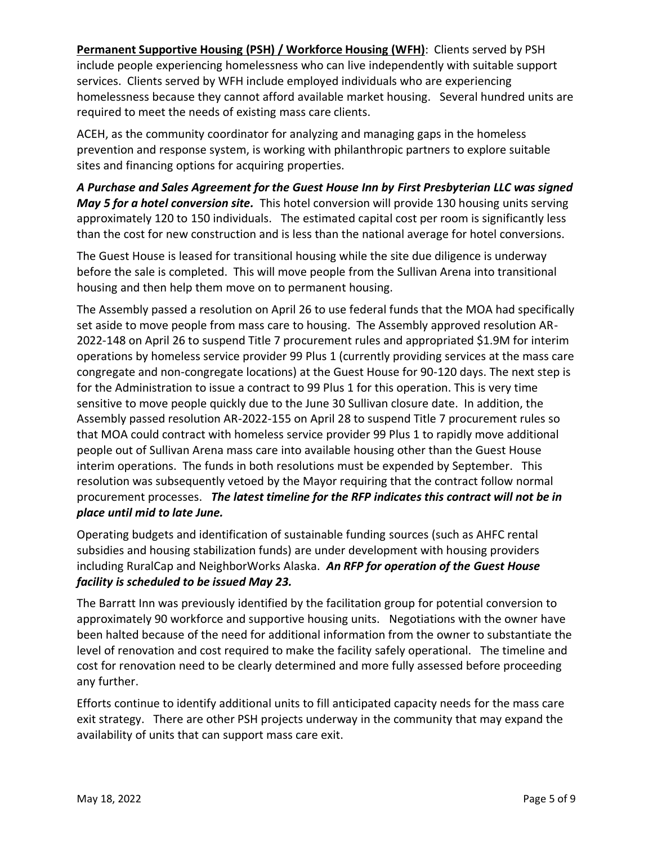**Permanent Supportive Housing (PSH) / Workforce Housing (WFH)**: Clients served by PSH include people experiencing homelessness who can live independently with suitable support services. Clients served by WFH include employed individuals who are experiencing homelessness because they cannot afford available market housing. Several hundred units are required to meet the needs of existing mass care clients.

ACEH, as the community coordinator for analyzing and managing gaps in the homeless prevention and response system, is working with philanthropic partners to explore suitable sites and financing options for acquiring properties.

*A Purchase and Sales Agreement for the Guest House Inn by First Presbyterian LLC was signed May 5 for a hotel conversion site.* This hotel conversion will provide 130 housing units serving approximately 120 to 150 individuals.The estimated capital cost per room is significantly less than the cost for new construction and is less than the national average for hotel conversions.

The Guest House is leased for transitional housing while the site due diligence is underway before the sale is completed. This will move people from the Sullivan Arena into transitional housing and then help them move on to permanent housing.

The Assembly passed a resolution on April 26 to use federal funds that the MOA had specifically set aside to move people from mass care to housing. The Assembly approved resolution AR-2022-148 on April 26 to suspend Title 7 procurement rules and appropriated \$1.9M for interim operations by homeless service provider 99 Plus 1 (currently providing services at the mass care congregate and non-congregate locations) at the Guest House for 90-120 days. The next step is for the Administration to issue a contract to 99 Plus 1 for this operation. This is very time sensitive to move people quickly due to the June 30 Sullivan closure date. In addition, the Assembly passed resolution AR-2022-155 on April 28 to suspend Title 7 procurement rules so that MOA could contract with homeless service provider 99 Plus 1 to rapidly move additional people out of Sullivan Arena mass care into available housing other than the Guest House interim operations. The funds in both resolutions must be expended by September. This resolution was subsequently vetoed by the Mayor requiring that the contract follow normal procurement processes. *The latest timeline for the RFP indicates this contract will not be in place until mid to late June.* 

Operating budgets and identification of sustainable funding sources (such as AHFC rental subsidies and housing stabilization funds) are under development with housing providers including RuralCap and NeighborWorks Alaska. *An RFP for operation of the Guest House facility is scheduled to be issued May 23.* 

The Barratt Inn was previously identified by the facilitation group for potential conversion to approximately 90 workforce and supportive housing units. Negotiations with the owner have been halted because of the need for additional information from the owner to substantiate the level of renovation and cost required to make the facility safely operational. The timeline and cost for renovation need to be clearly determined and more fully assessed before proceeding any further.

Efforts continue to identify additional units to fill anticipated capacity needs for the mass care exit strategy. There are other PSH projects underway in the community that may expand the availability of units that can support mass care exit.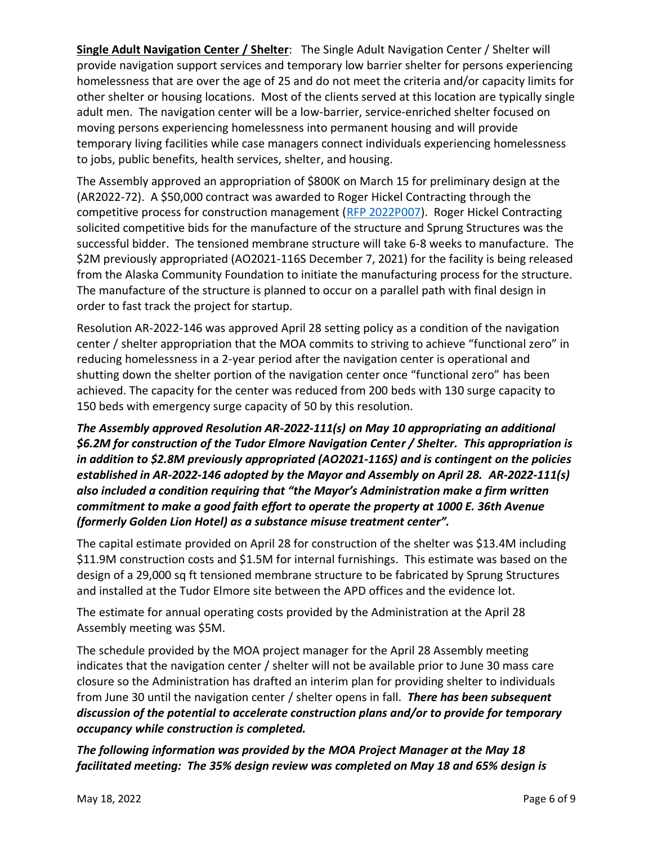**Single Adult Navigation Center / Shelter**: The Single Adult Navigation Center / Shelter will provide navigation support services and temporary low barrier shelter for persons experiencing homelessness that are over the age of 25 and do not meet the criteria and/or capacity limits for other shelter or housing locations. Most of the clients served at this location are typically single adult men. The navigation center will be a low-barrier, service-enriched shelter focused on moving persons experiencing homelessness into permanent housing and will provide temporary living facilities while case managers connect individuals experiencing homelessness to jobs, public benefits, health services, shelter, and housing.

The Assembly approved an appropriation of \$800K on March 15 for preliminary design at the (AR2022-72). A \$50,000 contract was awarded to Roger Hickel Contracting through the competitive process for construction management [\(RFP 2022P007\)](https://purchasing.muni.org/Web%20E-Bid/Open/rfp/2022P007%20Navigation%20Center/Proposal%20Document/2022P007%20-%20Navigation%20Center.pdf). Roger Hickel Contracting solicited competitive bids for the manufacture of the structure and Sprung Structures was the successful bidder. The tensioned membrane structure will take 6-8 weeks to manufacture. The \$2M previously appropriated (AO2021-116S December 7, 2021) for the facility is being released from the Alaska Community Foundation to initiate the manufacturing process for the structure. The manufacture of the structure is planned to occur on a parallel path with final design in order to fast track the project for startup.

Resolution AR-2022-146 was approved April 28 setting policy as a condition of the navigation center / shelter appropriation that the MOA commits to striving to achieve "functional zero" in reducing homelessness in a 2-year period after the navigation center is operational and shutting down the shelter portion of the navigation center once "functional zero" has been achieved. The capacity for the center was reduced from 200 beds with 130 surge capacity to 150 beds with emergency surge capacity of 50 by this resolution.

*The Assembly approved Resolution AR-2022-111(s) on May 10 appropriating an additional \$6.2M for construction of the Tudor Elmore Navigation Center / Shelter. This appropriation is in addition to \$2.8M previously appropriated (AO2021-116S) and is contingent on the policies established in AR-2022-146 adopted by the Mayor and Assembly on April 28. AR-2022-111(s) also included a condition requiring that "the Mayor's Administration make a firm written commitment to make a good faith effort to operate the property at 1000 E. 36th Avenue (formerly Golden Lion Hotel) as a substance misuse treatment center".* 

The capital estimate provided on April 28 for construction of the shelter was \$13.4M including \$11.9M construction costs and \$1.5M for internal furnishings. This estimate was based on the design of a 29,000 sq ft tensioned membrane structure to be fabricated by Sprung Structures and installed at the Tudor Elmore site between the APD offices and the evidence lot.

The estimate for annual operating costs provided by the Administration at the April 28 Assembly meeting was \$5M.

The schedule provided by the MOA project manager for the April 28 Assembly meeting indicates that the navigation center / shelter will not be available prior to June 30 mass care closure so the Administration has drafted an interim plan for providing shelter to individuals from June 30 until the navigation center / shelter opens in fall. *There has been subsequent discussion of the potential to accelerate construction plans and/or to provide for temporary occupancy while construction is completed.* 

*The following information was provided by the MOA Project Manager at the May 18 facilitated meeting: The 35% design review was completed on May 18 and 65% design is*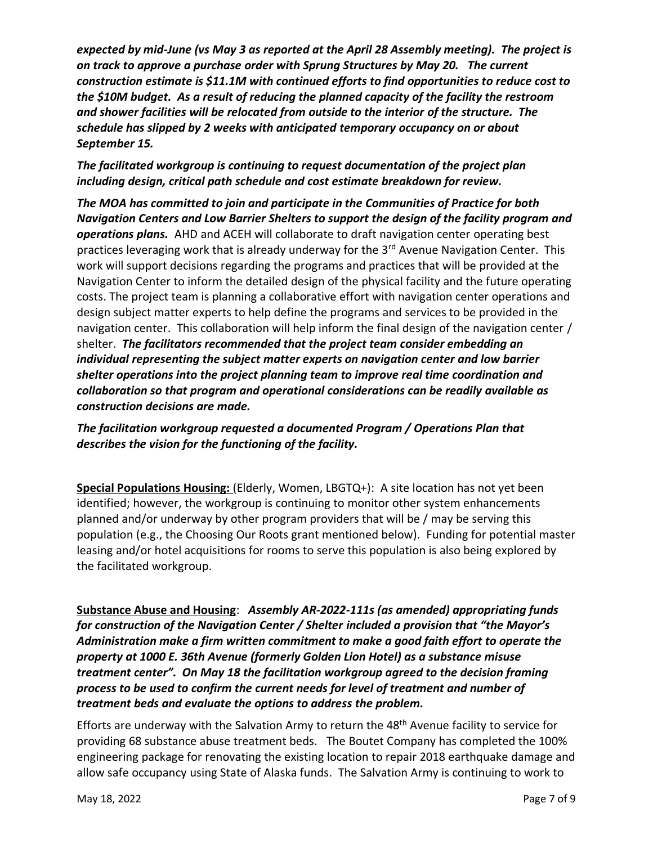*expected by mid-June (vs May 3 as reported at the April 28 Assembly meeting). The project is on track to approve a purchase order with Sprung Structures by May 20. The current construction estimate is \$11.1M with continued efforts to find opportunities to reduce cost to the \$10M budget. As a result of reducing the planned capacity of the facility the restroom and shower facilities will be relocated from outside to the interior of the structure. The schedule has slipped by 2 weeks with anticipated temporary occupancy on or about September 15.* 

## *The facilitated workgroup is continuing to request documentation of the project plan including design, critical path schedule and cost estimate breakdown for review.*

*The MOA has committed to join and participate in the Communities of Practice for both Navigation Centers and Low Barrier Shelters to support the design of the facility program and operations plans.* AHD and ACEH will collaborate to draft navigation center operating best practices leveraging work that is already underway for the 3<sup>rd</sup> Avenue Navigation Center. This work will support decisions regarding the programs and practices that will be provided at the Navigation Center to inform the detailed design of the physical facility and the future operating costs. The project team is planning a collaborative effort with navigation center operations and design subject matter experts to help define the programs and services to be provided in the navigation center. This collaboration will help inform the final design of the navigation center / shelter. *The facilitators recommended that the project team consider embedding an individual representing the subject matter experts on navigation center and low barrier shelter operations into the project planning team to improve real time coordination and collaboration so that program and operational considerations can be readily available as construction decisions are made.* 

*The facilitation workgroup requested a documented Program / Operations Plan that describes the vision for the functioning of the facility.* 

**Special Populations Housing:** (Elderly, Women, LBGTQ+): A site location has not yet been identified; however, the workgroup is continuing to monitor other system enhancements planned and/or underway by other program providers that will be / may be serving this population (e.g., the Choosing Our Roots grant mentioned below). Funding for potential master leasing and/or hotel acquisitions for rooms to serve this population is also being explored by the facilitated workgroup.

**Substance Abuse and Housing**: *Assembly AR-2022-111s (as amended) appropriating funds for construction of the Navigation Center / Shelter included a provision that "the Mayor's Administration make a firm written commitment to make a good faith effort to operate the property at 1000 E. 36th Avenue (formerly Golden Lion Hotel) as a substance misuse treatment center". On May 18 the facilitation workgroup agreed to the decision framing process to be used to confirm the current needs for level of treatment and number of treatment beds and evaluate the options to address the problem.*

Efforts are underway with the Salvation Army to return the 48<sup>th</sup> Avenue facility to service for providing 68 substance abuse treatment beds. The Boutet Company has completed the 100% engineering package for renovating the existing location to repair 2018 earthquake damage and allow safe occupancy using State of Alaska funds. The Salvation Army is continuing to work to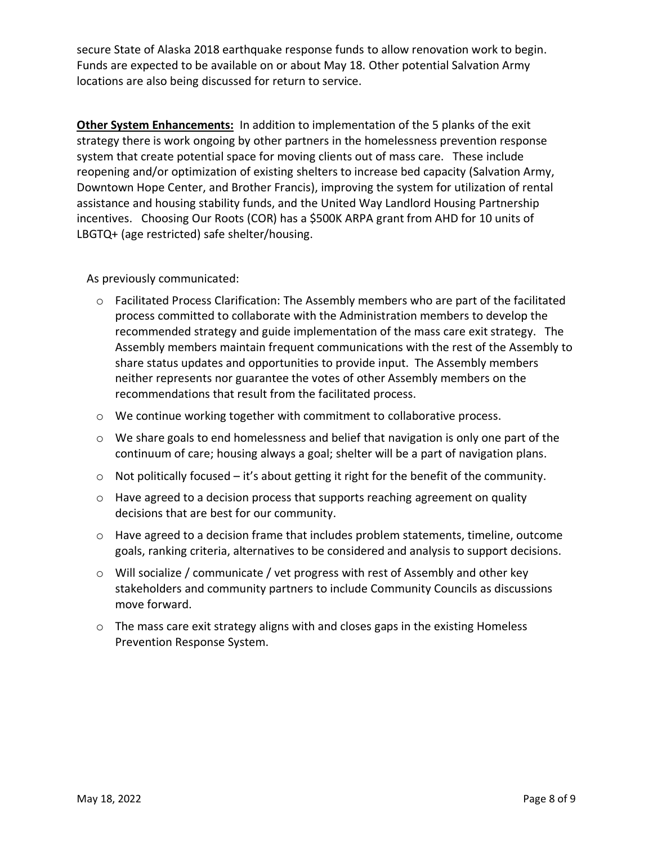secure State of Alaska 2018 earthquake response funds to allow renovation work to begin. Funds are expected to be available on or about May 18. Other potential Salvation Army locations are also being discussed for return to service.

**Other System Enhancements:** In addition to implementation of the 5 planks of the exit strategy there is work ongoing by other partners in the homelessness prevention response system that create potential space for moving clients out of mass care. These include reopening and/or optimization of existing shelters to increase bed capacity (Salvation Army, Downtown Hope Center, and Brother Francis), improving the system for utilization of rental assistance and housing stability funds, and the United Way Landlord Housing Partnership incentives. Choosing Our Roots (COR) has a \$500K ARPA grant from AHD for 10 units of LBGTQ+ (age restricted) safe shelter/housing.

As previously communicated:

- $\circ$  Facilitated Process Clarification: The Assembly members who are part of the facilitated process committed to collaborate with the Administration members to develop the recommended strategy and guide implementation of the mass care exit strategy. The Assembly members maintain frequent communications with the rest of the Assembly to share status updates and opportunities to provide input. The Assembly members neither represents nor guarantee the votes of other Assembly members on the recommendations that result from the facilitated process.
- o We continue working together with commitment to collaborative process.
- o We share goals to end homelessness and belief that navigation is only one part of the continuum of care; housing always a goal; shelter will be a part of navigation plans.
- $\circ$  Not politically focused it's about getting it right for the benefit of the community.
- o Have agreed to a decision process that supports reaching agreement on quality decisions that are best for our community.
- o Have agreed to a decision frame that includes problem statements, timeline, outcome goals, ranking criteria, alternatives to be considered and analysis to support decisions.
- o Will socialize / communicate / vet progress with rest of Assembly and other key stakeholders and community partners to include Community Councils as discussions move forward.
- o The mass care exit strategy aligns with and closes gaps in the existing Homeless Prevention Response System.